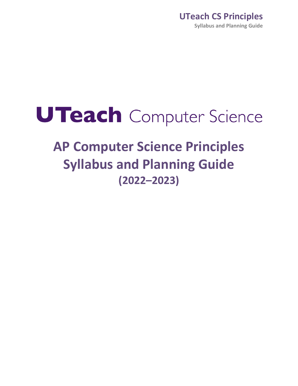# UTeach Computer Science

## **AP Computer Science Principles Syllabus and Planning Guide (2022–2023)**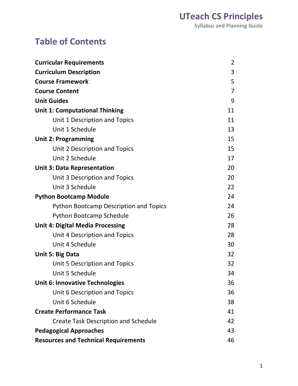### <span id="page-1-0"></span>**Table of Contents**

| <b>Curricular Requirements</b>                | 2              |
|-----------------------------------------------|----------------|
| <b>Curriculum Description</b>                 | 3              |
| <b>Course Framework</b>                       | 5              |
| <b>Course Content</b>                         | $\overline{7}$ |
| <b>Unit Guides</b>                            | 9              |
| <b>Unit 1: Computational Thinking</b>         | 11             |
| Unit 1 Description and Topics                 | 11             |
| Unit 1 Schedule                               | 13             |
| <b>Unit 2: Programming</b>                    | 15             |
| Unit 2 Description and Topics                 | 15             |
| Unit 2 Schedule                               | 17             |
| <b>Unit 3: Data Representation</b>            | 20             |
| Unit 3 Description and Topics                 | 20             |
| Unit 3 Schedule                               | 22             |
| <b>Python Bootcamp Module</b>                 | 24             |
| <b>Python Bootcamp Description and Topics</b> | 24             |
| <b>Python Bootcamp Schedule</b>               | 26             |
| <b>Unit 4: Digital Media Processing</b>       | 28             |
| Unit 4 Description and Topics                 | 28             |
| Unit 4 Schedule                               | 30             |
| Unit 5: Big Data                              | 32             |
| Unit 5 Description and Topics                 | 32             |
| Unit 5 Schedule                               | 34             |
| <b>Unit 6: Innovative Technologies</b>        | 36             |
| Unit 6 Description and Topics                 | 36             |
| Unit 6 Schedule                               | 38             |
| <b>Create Performance Task</b>                | 41             |
| <b>Create Task Description and Schedule</b>   | 42             |
| <b>Pedagogical Approaches</b>                 | 43             |
| <b>Resources and Technical Requirements</b>   | 46             |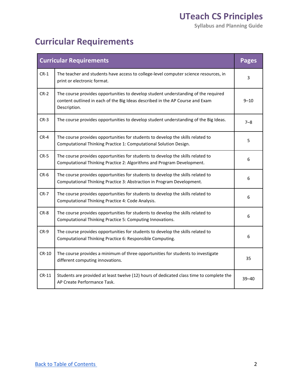**Syllabus and Planning Guide** 

### **Curricular Requirements**

|         | <b>Curricular Requirements</b>                                                                                                                                                      | <b>Pages</b> |
|---------|-------------------------------------------------------------------------------------------------------------------------------------------------------------------------------------|--------------|
| $CR-1$  | The teacher and students have access to college-level computer science resources, in<br>print or electronic format.                                                                 | 3            |
| $CR-2$  | The course provides opportunities to develop student understanding of the required<br>content outlined in each of the Big Ideas described in the AP Course and Exam<br>Description. | $9 - 10$     |
| $CR-3$  | The course provides opportunities to develop student understanding of the Big Ideas.                                                                                                | $7 - 8$      |
| $CR-4$  | The course provides opportunities for students to develop the skills related to<br>Computational Thinking Practice 1: Computational Solution Design.                                | 5            |
| $CR-5$  | The course provides opportunities for students to develop the skills related to<br>Computational Thinking Practice 2: Algorithms and Program Development.                           | 6            |
| $CR-6$  | The course provides opportunities for students to develop the skills related to<br>Computational Thinking Practice 3: Abstraction in Program Development.                           | 6            |
| $CR-7$  | The course provides opportunities for students to develop the skills related to<br>Computational Thinking Practice 4: Code Analysis.                                                | 6            |
| $CR-8$  | The course provides opportunities for students to develop the skills related to<br>Computational Thinking Practice 5: Computing Innovations.                                        | 6            |
| $CR-9$  | The course provides opportunities for students to develop the skills related to<br>Computational Thinking Practice 6: Responsible Computing.                                        | 6            |
| $CR-10$ | The course provides a minimum of three opportunities for students to investigate<br>different computing innovations.                                                                | 35           |
| $CR-11$ | Students are provided at least twelve (12) hours of dedicated class time to complete the<br>AP Create Performance Task.                                                             | $39 - 40$    |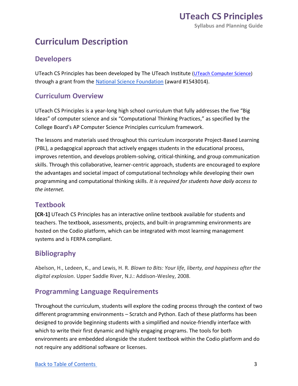### **Curriculum Description**

#### **Developers**

UTeach CS Principles has been developed by The UTeach Institute [\(UTeach Computer Science\)](https://cs.uteach.utexas.edu/) through a grant from th[e National Science Foundation](http://www.nsf.gov/) (award #1543014).

#### **Curriculum Overview**

 UTeach CS Principles is a year-long high school curriculum that fully addresses the five "Big Ideas" of computer science and six "Computational Thinking Practices," as specified by the College Board's AP Computer Science Principles curriculum framework.

 The lessons and materials used throughout this curriculum incorporate Project-Based Learning (PBL), a pedagogical approach that actively engages students in the educational process, improves retention, and develops problem-solving, critical-thinking, and group communication skills. Through this collaborative, learner-centric approach, students are encouraged to explore the advantages and societal impact of computational technology while developing their own programming and computational thinking skills. *It is required for students have daily access to the internet.* 

#### **Textbook**

 **[CR-1]** UTeach CS Principles has an interactive online textbook available for students and hosted on the Codio platform, which can be integrated with most learning management systems and is FERPA compliant. teachers. The textbook, assessments, projects, and built-in programming environments are

#### **Bibliography**

 Abelson, H., Ledeen, K., and Lewis, H. R. *Blown to Bits: Your life, liberty, and happiness after the digital explosion.* Upper Saddle River, N.J.: Addison-Wesley, 2008.

#### **Programming Language Requirements**

 Throughout the curriculum, students will explore the coding process through the context of two different programming environments – Scratch and Python. Each of these platforms has been designed to provide beginning students with a simplified and novice-friendly interface with which to write their first dynamic and highly engaging programs. The tools for both environments are embedded alongside the student textbook within the Codio platform and do not require any additional software or licenses.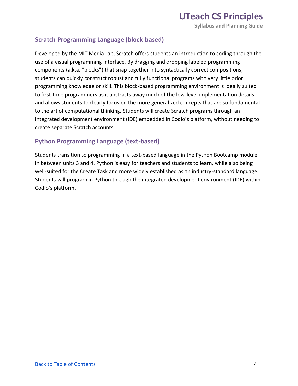**Syllabus and Planning Guide** 

#### **Scratch Programming Language (block-based)**

 Developed by the MIT Media Lab, Scratch offers students an introduction to coding through the use of a visual programming interface. By dragging and dropping labeled programming components (a.k.a. "blocks") that snap together into syntactically correct compositions, students can quickly construct robust and fully functional programs with very little prior programming knowledge or skill. This block-based programming environment is ideally suited to first-time programmers as it abstracts away much of the low-level implementation details and allows students to clearly focus on the more generalized concepts that are so fundamental to the art of computational thinking. Students will create Scratch programs through an integrated development environment (IDE) embedded in Codio's platform, without needing to create separate Scratch accounts.

#### **Python Programming Language (text-based)**

 Students transition to programming in a text-based language in the Python Bootcamp module in between units 3 and 4. Python is easy for teachers and students to learn, while also being well-suited for the Create Task and more widely established as an industry-standard language. Students will program in Python through the integrated development environment (IDE) within Codio's platform.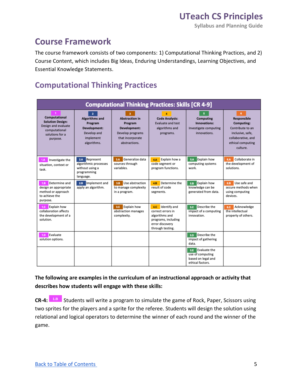**Syllabus and Planning Guide** 

#### **Course Framework**

 The course framework consists of two components: 1) Computational Thinking Practices, and 2) Course Content, which includes Big Ideas, Enduring Understandings, Learning Objectives, and Essential Knowledge Statements.

#### **Computational Thinking Practices**

| <b>Computational Thinking Practices: Skills [CR 4-9]</b>                                                               |                                                                                                                      |                                                                                                           |                                                                                                                       |                                                                                   |                                                                                                                               |
|------------------------------------------------------------------------------------------------------------------------|----------------------------------------------------------------------------------------------------------------------|-----------------------------------------------------------------------------------------------------------|-----------------------------------------------------------------------------------------------------------------------|-----------------------------------------------------------------------------------|-------------------------------------------------------------------------------------------------------------------------------|
| <b>Computational</b><br><b>Solution Design:</b><br>Design and evaluate<br>computational<br>solutions for a<br>purpose. | $\overline{2}$<br><b>Algorithms and</b><br>Program<br><b>Development:</b><br>Develop and<br>implement<br>algorithms. | <b>Abstraction in</b><br>Program<br>Development:<br>Develop programs<br>that incorporate<br>abstractions. | <b>Code Analysis:</b><br><b>Evaluate and test</b><br>algorithms and<br>programs.                                      | <b>Computing</b><br>Innovations:<br>Investigate computing<br>innovations.         | 6<br>Responsible<br>Computing:<br>Contribute to an<br>inclusive, safe,<br>collaborative, and<br>ethical computing<br>culture. |
| 1.A<br>Investigate the<br>situation, context or<br>task.                                                               | 2A Represent<br>algorithmic processes<br>without using a<br>programming<br>language.                                 | Generalize data<br>3.A<br>sources through<br>variables.                                                   | Explain how a<br><b>4A</b><br>code segment or<br>program functions.                                                   | 5.A Explain how<br>computing systems<br>work.                                     | Collaborate in<br>6.A<br>the development of<br>solutions.                                                                     |
| Determine and<br>1.B.<br>design an appropriate<br>method or approach<br>to achieve the<br>purpose.                     | Implement and<br>2B<br>apply an algorithm.                                                                           | Use abstraction<br>3.B<br>to manage complexity<br>in a program.                                           | Determine the<br><b>4.B</b><br>result of code<br>segments.                                                            | Explain how<br>5.B<br>knowledge can be<br>generated from data.                    | Use safe and<br>6.B<br>secure methods when<br>using computing<br>devices.                                                     |
| <b>Explain how</b><br>1.C.<br>collaboration affects<br>the development of a<br>solution.                               |                                                                                                                      | <b>Explain how</b><br>3.C.<br>abstraction manages<br>complexity.                                          | 4.C Identify and<br>correct errors in<br>algorithms and<br>programs, including<br>error discovery<br>through testing. | s.c Describe the<br>impact of a computing<br>innovation.                          | Acknowledge<br>6.C<br>the intellectual<br>property of others.                                                                 |
| Evaluate<br>1.D<br>solution options.                                                                                   |                                                                                                                      |                                                                                                           |                                                                                                                       | s.p Describe the<br>impact of gathering<br>data.                                  |                                                                                                                               |
|                                                                                                                        |                                                                                                                      |                                                                                                           |                                                                                                                       | Evaluate the<br>5.E<br>use of computing<br>based on legal and<br>ethical factors. |                                                                                                                               |

#### **The following are examples in the curriculum of an instructional approach or activity that describes how students will engage with these skills:**

 **1111 CR-4: 1.B** Students will write a program to simulate the game of Rock, Paper, Scissors using two sprites for the players and a sprite for the referee. Students will design the solution using relational and logical operators to determine the winner of each round and the winner of the game.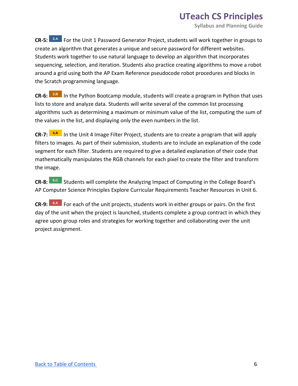**Syllabus and Planning Guide** 

**CR-5:** <sup>2.A</sup> For the Unit 1 Password Generator Project, students will work together in groups to create an algorithm that generates a unique and secure password for different websites. Students work together to use natural language to develop an algorithm that incorporates sequencing, selection, and iteration. Students also practice creating algorithms to move a robot around a grid using both the AP Exam Reference pseudocode robot procedures and blocks in the Scratch programming language.

**CR-6: 3.B** In the Python Bootcamp module, students will create a program in Python that uses lists to store and analyze data. Students will write several of the common list processing algorithms such as determining a maximum or minimum value of the list, computing the sum of the values in the list, and displaying only the even numbers in the list.

**CR-7: 4.A** In the Unit 4 Image Filter Project, students are to create a program that will apply filters to images. As part of their submission, students are to include an explanation of the code segment for each filter. Students are required to give a detailed explanation of their code that mathematically manipulates the RGB channels for each pixel to create the filter and transform the image.

**CR-8:** <sup>5.C</sup> Students will complete the Analyzing Impact of Computing in the College Board's AP Computer Science Principles Explore Curricular Requirements Teacher Resources in Unit 6.

**CR-9:** <sup>6.A</sup> For each of the unit projects, students work in either groups or pairs. On the first day of the unit when the project is launched, students complete a group contract in which they agree upon group roles and strategies for working together and collaborating over the unit project assignment.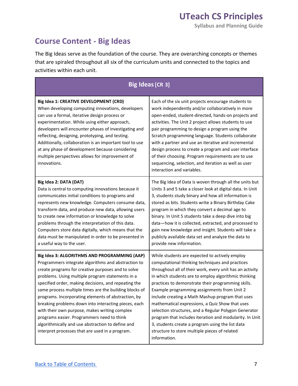#### **Course Content - Big Ideas**

 The Big Ideas serve as the foundation of the course. They are overarching concepts or themes that are spiraled throughout all six of the curriculum units and connected to the topics and activities within each unit.

|                                                                                                                                                                                                                                                                                                                                                                                                                                                                                                                                                                                                                                                       | <b>Big Ideas [CR 3]</b>                                                                                                                                                                                                                                                                                                                                                                                                                                                                                                                                                                                                                                                    |
|-------------------------------------------------------------------------------------------------------------------------------------------------------------------------------------------------------------------------------------------------------------------------------------------------------------------------------------------------------------------------------------------------------------------------------------------------------------------------------------------------------------------------------------------------------------------------------------------------------------------------------------------------------|----------------------------------------------------------------------------------------------------------------------------------------------------------------------------------------------------------------------------------------------------------------------------------------------------------------------------------------------------------------------------------------------------------------------------------------------------------------------------------------------------------------------------------------------------------------------------------------------------------------------------------------------------------------------------|
| Big Idea 1: CREATIVE DEVELOPMENT (CRD)<br>When developing computing innovations, developers<br>can use a formal, iterative design process or<br>experimentation. While using either approach,<br>developers will encounter phases of investigating and<br>reflecting, designing, prototyping, and testing.<br>Additionally, collaboration is an important tool to use<br>at any phase of development because considering<br>multiple perspectives allows for improvement of<br>innovations.                                                                                                                                                           | Each of the six unit projects encourage students to<br>work independently and/or collaboratively in more<br>open-ended, student-directed, hands-on projects and<br>activities. The Unit 2 project allows students to use<br>pair programming to design a program using the<br>Scratch programming language. Students collaborate<br>with a partner and use an iterative and incremental<br>design process to create a program and user interface<br>of their choosing. Program requirements are to use<br>sequencing, selection, and iteration as well as user<br>interaction and variables.                                                                               |
| Big Idea 2: DATA (DAT)<br>Data is central to computing innovations because it<br>communicates initial conditions to programs and<br>represents new knowledge. Computers consume data,<br>transform data, and produce new data, allowing users<br>to create new information or knowledge to solve<br>problems through the interpretation of this data.<br>Computers store data digitally, which means that the<br>data must be manipulated in order to be presented in<br>a useful way to the user.                                                                                                                                                    | The Big Idea of Data is woven through all the units but<br>Units 3 and 5 take a closer look at digital data. In Unit<br>3, students study binary and how all information is<br>stored as bits. Students write a Binary Birthday Cake<br>program in which they convert a decimal age to<br>binary. In Unit 5 students take a deep dive into big<br>data-how it is collected, extracted, and processed to<br>gain new knowledge and insight. Students will take a<br>publicly available data set and analyze the data to<br>provide new information.                                                                                                                         |
| Big Idea 3: ALGORITHMS AND PROGRAMMING (AAP)<br>Programmers integrate algorithms and abstraction to<br>create programs for creative purposes and to solve<br>problems. Using multiple program statements in a<br>specified order, making decisions, and repeating the<br>same process multiple times are the building blocks of<br>programs. Incorporating elements of abstraction, by<br>breaking problems down into interacting pieces, each<br>with their own purpose, makes writing complex<br>programs easier. Programmers need to think<br>algorithmically and use abstraction to define and<br>interpret processes that are used in a program. | While students are expected to actively employ<br>computational thinking techniques and practices<br>throughout all of their work, every unit has an activity<br>in which students are to employ algorithmic thinking<br>practices to demonstrate their programming skills.<br>Example programming assignments from Unit 2<br>include creating a Math Mashup program that uses<br>mathematical expressions, a Quiz Show that uses<br>selection structures, and a Regular Polygon Generator<br>program that includes iteration and modularity. In Unit<br>3, students create a program using the list data<br>structure to store multiple pieces of related<br>information. |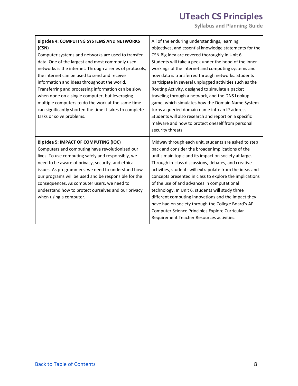| Big Idea 4: COMPUTING SYSTEMS AND NETWORKS<br>(CSN)<br>Computer systems and networks are used to transfer<br>data. One of the largest and most commonly used<br>networks is the internet. Through a series of protocols,<br>the internet can be used to send and receive<br>information and ideas throughout the world.<br>Transferring and processing information can be slow<br>when done on a single computer, but leveraging<br>multiple computers to do the work at the same time<br>can significantly shorten the time it takes to complete<br>tasks or solve problems. | All of the enduring understandings, learning<br>objectives, and essential knowledge statements for the<br>CSN Big Idea are covered thoroughly in Unit 6.<br>Students will take a peek under the hood of the inner<br>workings of the internet and computing systems and<br>how data is transferred through networks. Students<br>participate in several unplugged activities such as the<br>Routing Activity, designed to simulate a packet<br>traveling through a network, and the DNS Lookup<br>game, which simulates how the Domain Name System<br>turns a queried domain name into an IP address.<br>Students will also research and report on a specific<br>malware and how to protect oneself from personal<br>security threats. |
|-------------------------------------------------------------------------------------------------------------------------------------------------------------------------------------------------------------------------------------------------------------------------------------------------------------------------------------------------------------------------------------------------------------------------------------------------------------------------------------------------------------------------------------------------------------------------------|----------------------------------------------------------------------------------------------------------------------------------------------------------------------------------------------------------------------------------------------------------------------------------------------------------------------------------------------------------------------------------------------------------------------------------------------------------------------------------------------------------------------------------------------------------------------------------------------------------------------------------------------------------------------------------------------------------------------------------------|
| Big Idea 5: IMPACT OF COMPUTING (IOC)<br>Computers and computing have revolutionized our<br>lives. To use computing safely and responsibly, we<br>need to be aware of privacy, security, and ethical<br>issues. As programmers, we need to understand how<br>our programs will be used and be responsible for the<br>consequences. As computer users, we need to<br>understand how to protect ourselves and our privacy<br>when using a computer.                                                                                                                             | Midway through each unit, students are asked to step<br>back and consider the broader implications of the<br>unit's main topic and its impact on society at large.<br>Through in-class discussions, debates, and creative<br>activities, students will extrapolate from the ideas and<br>concepts presented in class to explore the implications<br>of the use of and advances in computational<br>technology. In Unit 6, students will study three<br>different computing innovations and the impact they<br>have had on society through the College Board's AP<br>Computer Science Principles Explore Curricular<br>Requirement Teacher Resources activities.                                                                        |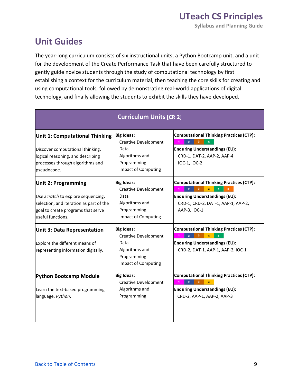#### **Unit Guides**

 The year-long curriculum consists of six instructional units, a Python Bootcamp unit, and a unit for the development of the Create Performance Task that have been carefully structured to gently guide novice students through the study of computational technology by first establishing a context for the curriculum material, then teaching the core skills for creating and using computational tools, followed by demonstrating real-world applications of digital technology, and finally allowing the students to exhibit the skills they have developed.

| <b>Curriculum Units [CR 2]</b>                                                                                                                                         |                                                                                                                         |                                                                                                                                                    |  |  |
|------------------------------------------------------------------------------------------------------------------------------------------------------------------------|-------------------------------------------------------------------------------------------------------------------------|----------------------------------------------------------------------------------------------------------------------------------------------------|--|--|
| <b>Unit 1: Computational Thinking</b><br>Discover computational thinking,<br>logical reasoning, and describing<br>processes through algorithms and<br>pseudocode.      | <b>Big Ideas:</b><br><b>Creative Development</b><br>Data<br>Algorithms and<br>Programming<br><b>Impact of Computing</b> | <b>Computational Thinking Practices (CTP):</b><br><b>Enduring Understandings (EU):</b><br>CRD-1, DAT-2, AAP-2, AAP-4<br>IOC-1, IOC-2               |  |  |
| <b>Unit 2: Programming</b><br>Use Scratch to explore sequencing,<br>selection, and iteration as part of the<br>goal to create programs that serve<br>useful functions. | <b>Big Ideas:</b><br><b>Creative Development</b><br>Data<br>Algorithms and<br>Programming<br>Impact of Computing        | <b>Computational Thinking Practices (CTP):</b><br>з.<br><b>Enduring Understandings (EU):</b><br>CRD-1, CRD-2, DAT-1, AAP-1, AAP-2,<br>AAP-3, IOC-1 |  |  |
| <b>Unit 3: Data Representation</b><br>Explore the different means of<br>representing information digitally.                                                            | <b>Big Ideas:</b><br>Creative Development<br>Data<br>Algorithms and<br>Programming<br>Impact of Computing               | <b>Computational Thinking Practices (CTP):</b><br><b>Enduring Understandings (EU):</b><br>CRD-2, DAT-1, AAP-1, AAP-2, IOC-1                        |  |  |
| <b>Python Bootcamp Module</b><br>Learn the text-based programming<br>language, Python.                                                                                 | <b>Big Ideas:</b><br><b>Creative Development</b><br>Algorithms and<br>Programming                                       | <b>Computational Thinking Practices (CTP):</b><br>з<br><b>Enduring Understandings (EU):</b><br>CRD-2, AAP-1, AAP-2, AAP-3                          |  |  |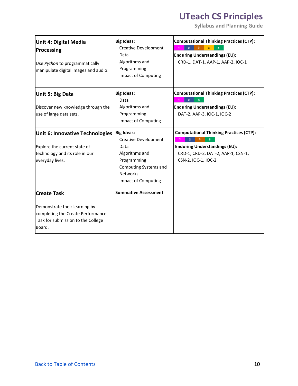| <b>Unit 4: Digital Media</b><br>Processing<br>Use Python to programmatically<br>manipulate digital images and audio.                     | <b>Big Ideas:</b><br>Creative Development<br>Data<br>Algorithms and<br>Programming<br><b>Impact of Computing</b>                                      | <b>Computational Thinking Practices (CTP):</b><br><b>Enduring Understandings (EU):</b><br>CRD-1, DAT-1, AAP-1, AAP-2, IOC-1                         |
|------------------------------------------------------------------------------------------------------------------------------------------|-------------------------------------------------------------------------------------------------------------------------------------------------------|-----------------------------------------------------------------------------------------------------------------------------------------------------|
| Unit 5: Big Data<br>Discover new knowledge through the<br>use of large data sets.                                                        | <b>Big Ideas:</b><br>Data<br>Algorithms and<br>Programming<br><b>Impact of Computing</b>                                                              | <b>Computational Thinking Practices (CTP):</b><br><b>Enduring Understandings (EU):</b><br>DAT-2, AAP-3, IOC-1, IOC-2                                |
| Unit 6: Innovative Technologies<br>Explore the current state of<br>technology and its role in our<br>everyday lives.                     | <b>Big Ideas:</b><br>Creative Development<br>Data<br>Algorithms and<br>Programming<br>Computing Systems and<br><b>Networks</b><br>Impact of Computing | <b>Computational Thinking Practices (CTP):</b><br><b>Enduring Understandings (EU):</b><br>CRD-1, CRD-2, DAT-2, AAP-1, CSN-1,<br>CSN-2, IOC-1, IOC-2 |
| <b>Create Task</b><br>Demonstrate their learning by<br>completing the Create Performance<br>Task for submission to the College<br>Board. | <b>Summative Assessment</b>                                                                                                                           |                                                                                                                                                     |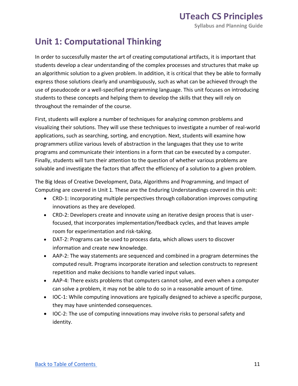#### **Unit 1: Computational Thinking**

 In order to successfully master the art of creating computational artifacts, it is important that students develop a clear understanding of the complex processes and structures that make up an algorithmic solution to a given problem. In addition, it is critical that they be able to formally express those solutions clearly and unambiguously, such as what can be achieved through the use of pseudocode or a well-specified programming language. This unit focuses on introducing students to these concepts and helping them to develop the skills that they will rely on throughout the remainder of the course.

 First, students will explore a number of techniques for analyzing common problems and visualizing their solutions. They will use these techniques to investigate a number of real-world applications, such as searching, sorting, and encryption. Next, students will examine how programmers utilize various levels of abstraction in the languages that they use to write programs and communicate their intentions in a form that can be executed by a computer. Finally, students will turn their attention to the question of whether various problems are solvable and investigate the factors that affect the efficiency of a solution to a given problem.

 The Big Ideas of Creative Development, Data, Algorithms and Programming, and Impact of Computing are covered in Unit 1. These are the Enduring Understandings covered in this unit:

- • CRD-1: Incorporating multiple perspectives through collaboration improves computing innovations as they are developed.
- • CRD-2: Developers create and innovate using an iterative design process that is user- focused, that incorporates implementation/feedback cycles, and that leaves ample room for experimentation and risk-taking.
- • DAT-2: Programs can be used to process data, which allows users to discover information and create new knowledge.
- • AAP-2: The way statements are sequenced and combined in a program determines the computed result. Programs incorporate iteration and selection constructs to represent repetition and make decisions to handle varied input values.
- • AAP-4: There exists problems that computers cannot solve, and even when a computer can solve a problem, it may not be able to do so in a reasonable amount of time.
- • IOC-1: While computing innovations are typically designed to achieve a specific purpose, they may have unintended consequences.
- • IOC-2: The use of computing innovations may involve risks to personal safety and identity.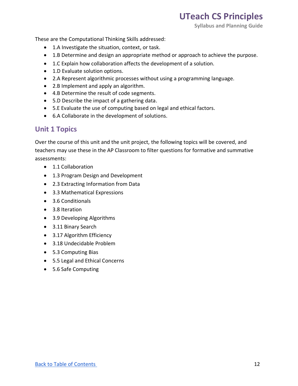**Syllabus and Planning Guide** 

These are the Computational Thinking Skills addressed:

- 1.A Investigate the situation, context, or task.
- 1.B Determine and design an appropriate method or approach to achieve the purpose.
- 1.C Explain how collaboration affects the development of a solution.
- 1.D Evaluate solution options.
- 2.A Represent algorithmic processes without using a programming language.
- 2.B Implement and apply an algorithm.
- 4.B Determine the result of code segments.
- 5.D Describe the impact of a gathering data.
- 5.E Evaluate the use of computing based on legal and ethical factors.
- 6.A Collaborate in the development of solutions.

#### **Unit 1 Topics**

 Over the course of this unit and the unit project, the following topics will be covered, and teachers may use these in the AP Classroom to filter questions for formative and summative assessments:

- 1.1 Collaboration
- 1.3 Program Design and Development
- 2.3 Extracting Information from Data
- 3.3 Mathematical Expressions
- 3.6 Conditionals
- 3.8 Iteration
- 3.9 Developing Algorithms
- 3.11 Binary Search
- 3.17 Algorithm Efficiency
- 3.18 Undecidable Problem
- 5.3 Computing Bias
- 5.5 Legal and Ethical Concerns
- 5.6 Safe Computing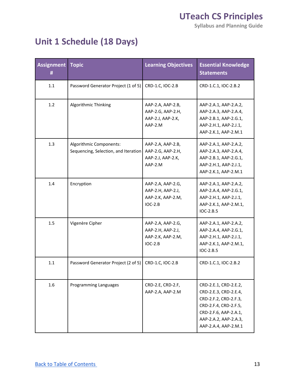**Syllabus and Planning Guide** 

### **Unit 1 Schedule (18 Days)**

| <b>Assignment   Topic</b><br>Ħ |                                                                 | <b>Learning Objectives</b>                                               | <b>Essential Knowledge</b><br><b>Statements</b>                                                                                                                            |
|--------------------------------|-----------------------------------------------------------------|--------------------------------------------------------------------------|----------------------------------------------------------------------------------------------------------------------------------------------------------------------------|
| 1.1                            | Password Generator Project (1 of 5)                             | CRD-1.C, IOC-2.B                                                         | CRD-1.C.1, IOC-2.B.2                                                                                                                                                       |
| 1.2                            | Algorithmic Thinking                                            | AAP-2.A, AAP-2.B,<br>AAP-2.G, AAP-2.H,<br>AAP-2.J, AAP-2.K,<br>AAP-2.M   | AAP-2.A.1, AAP-2.A.2,<br>AAP-2.A.3, AAP-2.A.4,<br>AAP-2.B.1, AAP-2.G.1,<br>AAP-2.H.1, AAP-2.J.1,<br>AAP-2.K.1, AAP-2.M.1                                                   |
| 1.3                            | Algorithmic Components:<br>Sequencing, Selection, and Iteration | AAP-2.A, AAP-2.B,<br>AAP-2.G, AAP-2.H,<br>AAP-2.J, AAP-2.K,<br>AAP-2.M   | AAP-2.A.1, AAP-2.A.2,<br>AAP-2.A.3, AAP-2.A.4,<br>AAP-2.B.1, AAP-2.G.1,<br>AAP-2.H.1, AAP-2.J.1,<br>AAP-2.K.1, AAP-2.M.1                                                   |
| 1.4                            | Encryption                                                      | AAP-2.A, AAP-2.G,<br>AAP-2.H, AAP-2.J,<br>AAP-2.K, AAP-2.M,<br>$IOC-2.B$ | AAP-2.A.1, AAP-2.A.2,<br>AAP-2.A.4, AAP-2.G.1,<br>AAP-2.H.1, AAP-2.J.1,<br>AAP-2.K.1, AAP-2.M.1,<br>$IOC-2.B.5$                                                            |
| $1.5\,$                        | Vigenère Cipher                                                 | AAP-2.A, AAP-2.G,<br>AAP-2.H, AAP-2.J,<br>AAP-2.K, AAP-2.M,<br>$IOC-2.B$ | AAP-2.A.1, AAP-2.A.2,<br>AAP-2.A.4, AAP-2.G.1,<br>AAP-2.H.1, AAP-2.J.1,<br>AAP-2.K.1, AAP-2.M.1,<br>$IOC-2.B.5$                                                            |
| 1.1                            | Password Generator Project (2 of 5)                             | CRD-1.C, IOC-2.B                                                         | CRD-1.C.1, IOC-2.B.2                                                                                                                                                       |
| 1.6                            | Programming Languages                                           | CRD-2.E, CRD-2.F,<br>AAP-2.A, AAP-2.M                                    | CRD-2.E.1, CRD-2.E.2,<br>CRD-2.E.3, CRD-2.E.4,<br>CRD-2.F.2, CRD-2.F.3,<br>CRD-2.F.4, CRD-2.F.5,<br>CRD-2.F.6, AAP-2.A.1,<br>AAP-2.A.2, AAP-2.A.3,<br>AAP-2.A.4, AAP-2.M.1 |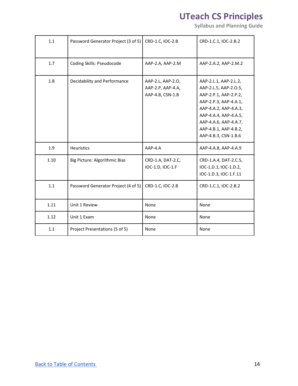| 1.1  | Password Generator Project (3 of 5) | CRD-1.C, IOC-2.B                                           | CRD-1.C.1, IOC-2.B.2                                                                                                                                                                                                         |
|------|-------------------------------------|------------------------------------------------------------|------------------------------------------------------------------------------------------------------------------------------------------------------------------------------------------------------------------------------|
| 1.7  | Coding Skills: Pseudocode           | AAP-2.A, AAP-2.M                                           | AAP-2.A.2, AAP-2.M.2                                                                                                                                                                                                         |
| 1.8  | Decidability and Performance        | AAP-2.L, AAP-2.O,<br>AAP-2.P, AAP-4.A,<br>AAP-4.B, CSN-1.B | AAP-2.L.1, AAP-2.L.2,<br>AAP-2.L.5, AAP-2.0.5,<br>AAP-2.P.1, AAP-2.P.2,<br>AAP-2.P.3, AAP-4.A.1,<br>AAP-4.A.2, AAP-4.A.3,<br>AAP-4.A.4, AAP-4.A.5,<br>AAP-4.A.6, AAP-4.A.7,<br>AAP-4.B.1, AAP-4.B.2,<br>AAP-4.B.3, CSN-1.B.6 |
| 1.9  | <b>Heuristics</b>                   | $AAP-4.A$                                                  | AAP-4.A.8, AAP-4.A.9                                                                                                                                                                                                         |
| 1.10 | Big Picture: Algorithmic Bias       | CRD-1.A, DAT-2.C,<br>IOC-1.D, IOC-1.F                      | CRD-1.A.4, DAT-2.C.5,<br>IOC-1.D.1, IOC-1.D.2,<br>IOC-1.D.3, IOC-1.F.11                                                                                                                                                      |
| 1.1  | Password Generator Project (4 of 5) | CRD-1.C, IOC-2.B                                           | CRD-1.C.1, IOC-2.B.2                                                                                                                                                                                                         |
| 1.11 | Unit 1 Review                       | None                                                       | None                                                                                                                                                                                                                         |
| 1.12 | Unit 1 Exam                         | None                                                       | None                                                                                                                                                                                                                         |
| 1.1  | Project Presentations (5 of 5)      | None                                                       | None                                                                                                                                                                                                                         |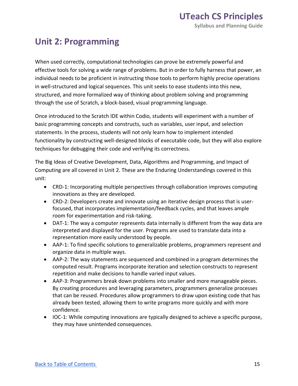#### **Unit 2: Programming**

 When used correctly, computational technologies can prove be extremely powerful and effective tools for solving a wide range of problems. But in order to fully harness that power, an individual needs to be proficient in instructing those tools to perform highly precise operations in well-structured and logical sequences. This unit seeks to ease students into this new, structured, and more formalized way of thinking about problem solving and programming through the use of Scratch, a block-based, visual programming language.

 Once introduced to the Scratch IDE within Codio, students will experiment with a number of basic programming concepts and constructs, such as variables, user input, and selection statements. In the process, students will not only learn how to implement intended functionality by constructing well-designed blocks of executable code, but they will also explore techniques for debugging their code and verifying its correctness.

 The Big Ideas of Creative Development, Data, Algorithms and Programming, and Impact of Computing are all covered in Unit 2. These are the Enduring Understandings covered in this unit:

- • CRD-1: Incorporating multiple perspectives through collaboration improves computing innovations as they are developed.
- • CRD-2: Developers create and innovate using an iterative design process that is user- focused, that incorporates implementation/feedback cycles, and that leaves ample room for experimentation and risk-taking.
- • DAT-1: The way a computer represents data internally is different from the way data are interpreted and displayed for the user. Programs are used to translate data into a representation more easily understood by people.
- • AAP-1: To find specific solutions to generalizable problems, programmers represent and organize data in multiple ways.
- • AAP-2: The way statements are sequenced and combined in a program determines the computed result. Programs incorporate iteration and selection constructs to represent repetition and make decisions to handle varied input values.
- • AAP-3: Programmers break down problems into smaller and more manageable pieces. By creating procedures and leveraging parameters, programmers generalize processes that can be reused. Procedures allow programmers to draw upon existing code that has already been tested, allowing them to write programs more quickly and with more confidence.
- • IOC-1: While computing innovations are typically designed to achieve a specific purpose, they may have unintended consequences.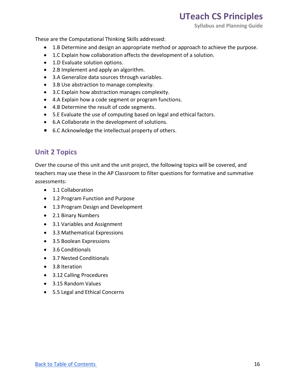**Syllabus and Planning Guide** 

These are the Computational Thinking Skills addressed:

- 1.B Determine and design an appropriate method or approach to achieve the purpose.
- 1.C Explain how collaboration affects the development of a solution.
- 1.D Evaluate solution options.
- 2.B Implement and apply an algorithm.
- 3.A Generalize data sources through variables.
- 3.B Use abstraction to manage complexity.
- 3.C Explain how abstraction manages complexity.
- 4.A Explain how a code segment or program functions.
- 4.B Determine the result of code segments.
- 5.E Evaluate the use of computing based on legal and ethical factors.
- 6.A Collaborate in the development of solutions.
- 6.C Acknowledge the intellectual property of others.

#### **Unit 2 Topics**

 Over the course of this unit and the unit project, the following topics will be covered, and teachers may use these in the AP Classroom to filter questions for formative and summative assessments:

- 1.1 Collaboration
- 1.2 Program Function and Purpose
- 1.3 Program Design and Development
- 2.1 Binary Numbers
- 3.1 Variables and Assignment
- 3.3 Mathematical Expressions
- 3.5 Boolean Expressions
- 3.6 Conditionals
- 3.7 Nested Conditionals
- 3.8 Iteration
- 3.12 Calling Procedures
- 3.15 Random Values
- 5.5 Legal and Ethical Concerns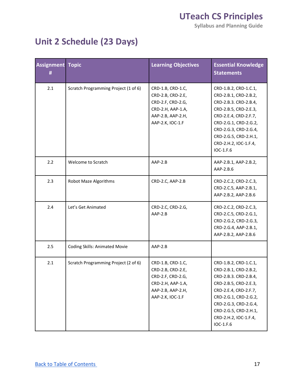**Syllabus and Planning Guide** 

### **Unit 2 Schedule (23 Days)**

| <b>Assignment</b><br>Ħ | <b>Topic</b>                         | <b>Learning Objectives</b>                                                                                                | <b>Essential Knowledge</b><br><b>Statements</b>                                                                                                                                                                                            |
|------------------------|--------------------------------------|---------------------------------------------------------------------------------------------------------------------------|--------------------------------------------------------------------------------------------------------------------------------------------------------------------------------------------------------------------------------------------|
| 2.1                    | Scratch Programming Project (1 of 6) | CRD-1.B, CRD-1.C,<br>CRD-2.B, CRD-2.E,<br>CRD-2.F, CRD-2.G,<br>CRD-2.H, AAP-1.A,<br>AAP-2.B, AAP-2.H,<br>AAP-2.K, IOC-1.F | CRD-1.B.2, CRD-1.C.1,<br>CRD-2.B.1, CRD-2.B.2,<br>CRD-2.B.3. CRD-2.B.4,<br>CRD-2.B.5, CRD-2.E.3,<br>CRD-2.E.4, CRD-2.F.7,<br>CRD-2.G.1, CRD-2.G.2,<br>CRD-2.G.3, CRD-2.G.4,<br>CRD-2.G.5, CRD-2.H.1,<br>CRD-2.H.2, IOC-1.F.4,<br>IOC-1.F.6 |
| 2.2                    | Welcome to Scratch                   | AAP-2.B                                                                                                                   | AAP-2.B.1, AAP-2.B.2,<br>AAP-2.B.6                                                                                                                                                                                                         |
| 2.3                    | Robot Maze Algorithms                | CRD-2.C, AAP-2.B                                                                                                          | CRD-2.C.2, CRD-2.C.3,<br>CRD-2.C.5, AAP-2.B.1,<br>AAP-2.B.2, AAP-2.B.6                                                                                                                                                                     |
| 2.4                    | Let's Get Animated                   | CRD-2.C, CRD-2.G,<br>$AAP-2.B$                                                                                            | CRD-2.C.2, CRD-2.C.3,<br>CRD-2.C.5, CRD-2.G.1,<br>CRD-2.G.2, CRD-2.G.3,<br>CRD-2.G.4, AAP-2.B.1,<br>AAP-2.B.2, AAP-2.B.6                                                                                                                   |
| 2.5                    | <b>Coding Skills: Animated Movie</b> | AAP-2.B                                                                                                                   |                                                                                                                                                                                                                                            |
| 2.1                    | Scratch Programming Project (2 of 6) | CRD-1.B, CRD-1.C,<br>CRD-2.B, CRD-2.E,<br>CRD-2.F, CRD-2.G,<br>CRD-2.H, AAP-1.A,<br>AAP-2.B, AAP-2.H,<br>AAP-2.K, IOC-1.F | CRD-1.B.2, CRD-1.C.1,<br>CRD-2.B.1, CRD-2.B.2,<br>CRD-2.B.3. CRD-2.B.4,<br>CRD-2.B.5, CRD-2.E.3,<br>CRD-2.E.4, CRD-2.F.7,<br>CRD-2.G.1, CRD-2.G.2,<br>CRD-2.G.3, CRD-2.G.4,<br>CRD-2.G.5, CRD-2.H.1,<br>CRD-2.H.2, IOC-1.F.4,<br>IOC-1.F.6 |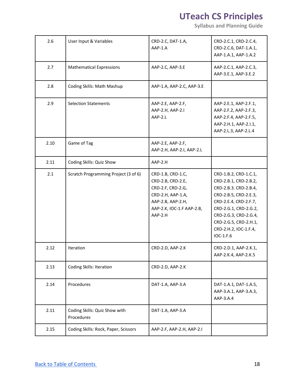| 2.6  | User Input & Variables                      | CRD-2.C, DAT-1.A,<br>AAP-1.A                                                                                                                  | CRD-2.C.1, CRD-2.C.4,<br>CRD-2.C.6, DAT-1.A.1,<br>AAP-1.A.1, AAP-1.A.2                                                                                                                                                                     |
|------|---------------------------------------------|-----------------------------------------------------------------------------------------------------------------------------------------------|--------------------------------------------------------------------------------------------------------------------------------------------------------------------------------------------------------------------------------------------|
| 2.7  | <b>Mathematical Expressions</b>             | AAP-2.C, AAP-3.E                                                                                                                              | AAP-2.C.1, AAP-2.C.3,<br>AAP-3.E.1, AAP-3.E.2                                                                                                                                                                                              |
| 2.8  | Coding Skills: Math Mashup                  | AAP-1.A, AAP-2.C, AAP-3.E                                                                                                                     |                                                                                                                                                                                                                                            |
| 2.9  | <b>Selection Statements</b>                 | AAP-2.E, AAP-2.F,<br>AAP-2.H, AAP-2.I<br>AAP-2.L                                                                                              | AAP-2.E.1, AAP-2.F.1,<br>AAP-2.F.2, AAP-2.F.3,<br>AAP-2.F.4, AAP-2.F.5,<br>AAP-2.H.1, AAP-2.I.1,<br>AAP-2.L.3, AAP-2.L.4                                                                                                                   |
| 2.10 | Game of Tag                                 | AAP-2.E, AAP-2.F,<br>AAP-2.H, AAP-2.I, AAP-2.L                                                                                                |                                                                                                                                                                                                                                            |
| 2.11 | Coding Skills: Quiz Show                    | AAP-2.H                                                                                                                                       |                                                                                                                                                                                                                                            |
| 2.1  | Scratch Programming Project (3 of 6)        | CRD-1.B, CRD-1.C,<br>CRD-2.B, CRD-2.E,<br>CRD-2.F, CRD-2.G,<br>CRD-2.H, AAP-1.A,<br>AAP-2.B, AAP-2.H,<br>AAP-2.K, IOC-1.F AAP-2.B,<br>AAP-2.H | CRD-1.B.2, CRD-1.C.1,<br>CRD-2.B.1, CRD-2.B.2,<br>CRD-2.B.3. CRD-2.B.4,<br>CRD-2.B.5, CRD-2.E.3,<br>CRD-2.E.4, CRD-2.F.7,<br>CRD-2.G.1, CRD-2.G.2,<br>CRD-2.G.3, CRD-2.G.4,<br>CRD-2.G.5, CRD-2.H.1,<br>CRD-2.H.2, IOC-1.F.4,<br>IOC-1.F.6 |
| 2.12 | Iteration                                   | CRD-2.D, AAP-2.K                                                                                                                              | CRD-2.D.1, AAP-2.K.1,<br>AAP-2.K.4, AAP-2.K.5                                                                                                                                                                                              |
| 2.13 | <b>Coding Skills: Iteration</b>             | CRD-2.D, AAP-2.K                                                                                                                              |                                                                                                                                                                                                                                            |
| 2.14 | Procedures                                  | DAT-1.A, AAP-3.A                                                                                                                              | DAT-1.A.1, DAT-1.A.5,<br>AAP-3.A.1, AAP-3.A.3,<br>AAP-3.A.4                                                                                                                                                                                |
| 2.11 | Coding Skills: Quiz Show with<br>Procedures | DAT-1.A, AAP-3.A                                                                                                                              |                                                                                                                                                                                                                                            |
| 2.15 | Coding Skills: Rock, Paper, Scissors        | AAP-2.F, AAP-2.H, AAP-2.I                                                                                                                     |                                                                                                                                                                                                                                            |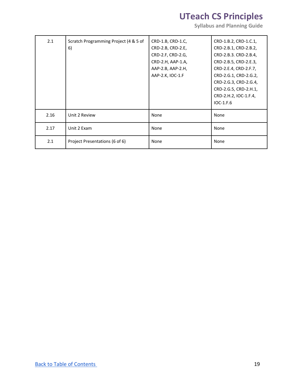| 2.1  | Scratch Programming Project (4 & 5 of | CRD-1.B, CRD-1.C, | CRD-1.B.2, CRD-1.C.1, |
|------|---------------------------------------|-------------------|-----------------------|
|      | 6)                                    | CRD-2.B, CRD-2.E, | CRD-2.B.1, CRD-2.B.2, |
|      |                                       | CRD-2.F, CRD-2.G, | CRD-2.B.3. CRD-2.B.4, |
|      |                                       | CRD-2.H, AAP-1.A, | CRD-2.B.5, CRD-2.E.3, |
|      |                                       | AAP-2.B, AAP-2.H, | CRD-2.E.4, CRD-2.F.7, |
|      |                                       | AAP-2.K, IOC-1.F  | CRD-2.G.1, CRD-2.G.2, |
|      |                                       |                   | CRD-2.G.3, CRD-2.G.4, |
|      |                                       |                   | CRD-2.G.5, CRD-2.H.1, |
|      |                                       |                   | CRD-2.H.2, IOC-1.F.4, |
|      |                                       |                   | $IOC-1.F.6$           |
| 2.16 | Unit 2 Review                         | None              | None                  |
| 2.17 | Unit 2 Exam                           | None              | None                  |
| 2.1  | Project Presentations (6 of 6)        | None              | None                  |
|      |                                       |                   |                       |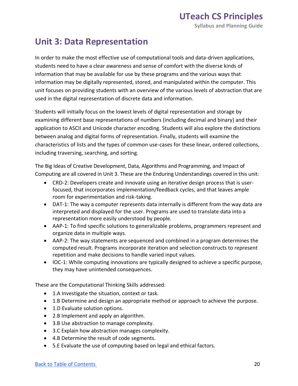#### **Unit 3: Data Representation**

 In order to make the most effective use of computational tools and data-driven applications, students need to have a clear awareness and sense of comfort with the diverse kinds of information that may be available for use by these programs and the various ways that information may be digitally represented, stored, and manipulated within the computer. This unit focuses on providing students with an overview of the various levels of abstraction that are used in the digital representation of discrete data and information.

 Students will initially focus on the lowest levels of digital representation and storage by examining different base representations of numbers (including decimal and binary) and their application to ASCII and Unicode character encoding. Students will also explore the distinctions between analog and digital forms of representation. Finally, students will examine the characteristics of lists and the types of common use-cases for these linear, ordered collections, including traversing, searching, and sorting.

 The Big Ideas of Creative Development, Data, Algorithms and Programming, and Impact of Computing are all covered in Unit 3. These are the Enduring Understandings covered in this unit:

- • CRD-2: Developers create and innovate using an iterative design process that is user- focused, that incorporates implementation/feedback cycles, and that leaves ample room for experimentation and risk-taking.
- • DAT-1: The way a computer represents data internally is different from the way data are interpreted and displayed for the user. Programs are used to translate data into a representation more easily understood by people.
- • AAP-1: To find specific solutions to generalizable problems, programmers represent and organize data in multiple ways.
- • AAP-2: The way statements are sequenced and combined in a program determines the computed result. Programs incorporate iteration and selection constructs to represent repetition and make decisions to handle varied input values.
- • IOC-1: While computing innovations are typically designed to achieve a specific purpose, they may have unintended consequences.

These are the Computational Thinking Skills addressed:

- 1.A Investigate the situation, context or task.
- 1.B Determine and design an appropriate method or approach to achieve the purpose.
- 1.D Evaluate solution options.
- 2.B Implement and apply an algorithm.
- 3.B Use abstraction to manage complexity.
- 3.C Explain how abstraction manages complexity.
- 4.B Determine the result of code segments.
- 5.E Evaluate the use of computing based on legal and ethical factors.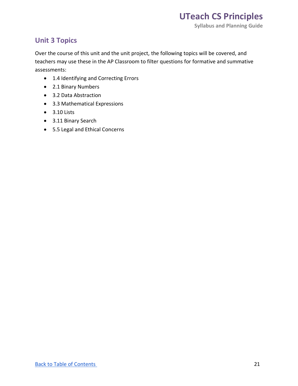#### **Unit 3 Topics**

 Over the course of this unit and the unit project, the following topics will be covered, and teachers may use these in the AP Classroom to filter questions for formative and summative assessments:

- 1.4 Identifying and Correcting Errors
- 2.1 Binary Numbers
- 3.2 Data Abstraction
- 3.3 Mathematical Expressions
- 3.10 Lists
- 3.11 Binary Search
- 5.5 Legal and Ethical Concerns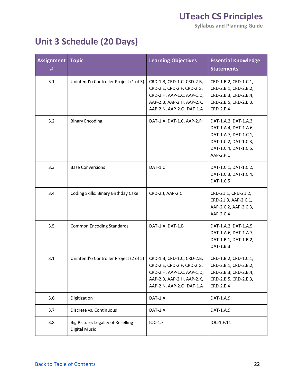**Syllabus and Planning Guide** 

### **Unit 3 Schedule (20 Days)**

| <b>Assignment</b><br># | <b>Topic</b>                                        | <b>Learning Objectives</b>                                                                                                                        | <b>Essential Knowledge</b><br><b>Statements</b>                                                                                        |
|------------------------|-----------------------------------------------------|---------------------------------------------------------------------------------------------------------------------------------------------------|----------------------------------------------------------------------------------------------------------------------------------------|
| 3.1                    | Unintend'o Controller Project (1 of 5)              | CRD-1.B, CRD-1.C, CRD-2.B,<br>CRD-2.E, CRD-2.F, CRD-2.G,<br>CRD-2.H, AAP-1.C, AAP-1.D,<br>AAP-2.B, AAP-2.H, AAP-2.K,<br>AAP-2.N, AAP-2.O, DAT-1.A | CRD-1.B.2, CRD-1.C.1,<br>CRD-2.B.1, CRD-2.B.2,<br>CRD-2.B.3, CRD-2.B.4,<br>CRD-2.B.5, CRD-2.E.3,<br>CRD-2.E.4                          |
| 3.2                    | <b>Binary Encoding</b>                              | DAT-1.A, DAT-1.C, AAP-2.P                                                                                                                         | DAT-1.A.2, DAT-1.A.3,<br>DAT-1.A.4, DAT-1.A.6,<br>DAT-1.A.7, DAT-1.C.1,<br>DAT-1.C.2, DAT-1.C.3,<br>DAT-1.C.4, DAT-1.C.5,<br>AAP-2.P.1 |
| 3.3                    | <b>Base Conversions</b>                             | DAT-1.C                                                                                                                                           | DAT-1.C.1, DAT-1.C.2,<br>DAT-1.C.3, DAT-1.C.4,<br>DAT-1.C.5                                                                            |
| 3.4                    | Coding Skills: Binary Birthday Cake                 | CRD-2.J, AAP-2.C                                                                                                                                  | CRD-2.J.1, CRD-2.J.2,<br>CRD-2.J.3, AAP-2.C.1,<br>AAP-2.C.2, AAP-2.C.3,<br>AAP-2.C.4                                                   |
| 3.5                    | <b>Common Encoding Standards</b>                    | DAT-1.A, DAT-1.B                                                                                                                                  | DAT-1.A.2, DAT-1.A.5,<br>DAT-1.A.6, DAT-1.A.7,<br>DAT-1.B.1, DAT-1.B.2,<br>DAT-1.B.3                                                   |
| 3.1                    | Unintend'o Controller Project (2 of 5)              | CRD-1.B, CRD-1.C, CRD-2.B,<br>CRD-2.E, CRD-2.F, CRD-2.G,<br>CRD-2.H, AAP-1.C, AAP-1.D,<br>AAP-2.B, AAP-2.H, AAP-2.K,<br>AAP-2.N, AAP-2.O, DAT-1.A | CRD-1.B.2, CRD-1.C.1,<br>CRD-2.B.1, CRD-2.B.2,<br>CRD-2.B.3, CRD-2.B.4,<br>CRD-2.B.5, CRD-2.E.3,<br>CRD-2.E.4                          |
| 3.6                    | Digitization                                        | DAT-1.A                                                                                                                                           | DAT-1.A.9                                                                                                                              |
| 3.7                    | Discrete vs. Continuous                             | DAT-1.A                                                                                                                                           | DAT-1.A.9                                                                                                                              |
| 3.8                    | Big Picture: Legality of Reselling<br>Digital Music | IOC-1.F                                                                                                                                           | IOC-1.F.11                                                                                                                             |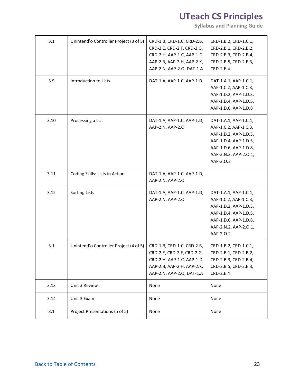| 3.1  | Unintend'o Controller Project (3 of 5) | CRD-1.B, CRD-1.C, CRD-2.B,<br>CRD-2.E, CRD-2.F, CRD-2.G,<br>CRD-2.H, AAP-1.C, AAP-1.D,<br>AAP-2.B, AAP-2.H, AAP-2.K,<br>AAP-2.N, AAP-2.O, DAT-1.A | CRD-1.B.2, CRD-1.C.1,<br>CRD-2.B.1, CRD-2.B.2,<br>CRD-2.B.3, CRD-2.B.4,<br>CRD-2.B.5, CRD-2.E.3,<br>CRD-2.E.4                                                   |
|------|----------------------------------------|---------------------------------------------------------------------------------------------------------------------------------------------------|-----------------------------------------------------------------------------------------------------------------------------------------------------------------|
| 3.9  | Introduction to Lists                  | DAT-1.A, AAP-1.C, AAP-1.D                                                                                                                         | DAT-1.A.1, AAP-1.C.1,<br>AAP-1.C.2, AAP-1.C.3,<br>AAP-1.D.2, AAP-1.D.3,<br>AAP-1.D.4, AAP-1.D.5,<br>AAP-1.D.6, AAP-1.D.8                                        |
| 3.10 | Processing a List                      | DAT-1.A, AAP-1.C, AAP-1.D,<br>AAP-2.N, AAP-2.O                                                                                                    | DAT-1.A.1, AAP-1.C.1,<br>AAP-1.C.2, AAP-1.C.3,<br>AAP-1.D.2, AAP-1.D.3,<br>AAP-1.D.4, AAP-1.D.5,<br>AAP-1.D.6, AAP-1.D.8,<br>AAP-2.N.2, AAP-2.O.1,<br>AAP-2.0.2 |
| 3.11 | Coding Skills: Lists in Action         | DAT-1.A, AAP-1.C, AAP-1.D,<br>AAP-2.N, AAP-2.O                                                                                                    |                                                                                                                                                                 |
| 3.12 | <b>Sorting Lists</b>                   | DAT-1.A, AAP-1.C, AAP-1.D,<br>AAP-2.N, AAP-2.O                                                                                                    | DAT-1.A.1, AAP-1.C.1,<br>AAP-1.C.2, AAP-1.C.3,<br>AAP-1.D.2, AAP-1.D.3,<br>AAP-1.D.4, AAP-1.D.5,<br>AAP-1.D.6, AAP-1.D.8,<br>AAP-2.N.2, AAP-2.O.1,<br>AAP-2.0.2 |
| 3.1  | Unintend'o Controller Project (4 of 5) | CRD-1.B, CRD-1.C, CRD-2.B,<br>CRD-2.E, CRD-2.F, CRD-2.G,<br>CRD-2.H, AAP-1.C, AAP-1.D,<br>AAP-2.B, AAP-2.H, AAP-2.K,<br>AAP-2.N, AAP-2.O, DAT-1.A | CRD-1.B.2, CRD-1.C.1,<br>CRD-2.B.1, CRD-2.B.2,<br>CRD-2.B.3, CRD-2.B.4,<br>CRD-2.B.5, CRD-2.E.3,<br>CRD-2.E.4                                                   |
| 3.13 | Unit 3 Review                          | None                                                                                                                                              | None                                                                                                                                                            |
| 3.14 | Unit 3 Exam                            | None                                                                                                                                              | None                                                                                                                                                            |
| 3.1  | Project Presentations (5 of 5)         | None                                                                                                                                              | None                                                                                                                                                            |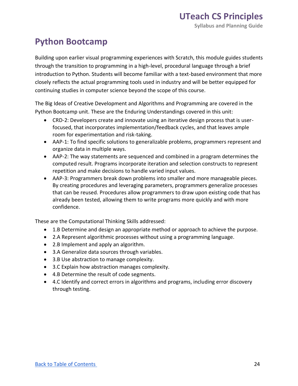### **Python Bootcamp**

 Building upon earlier visual programming experiences with Scratch, this module guides students through the transition to programming in a high-level, procedural language through a brief introduction to Python. Students will become familiar with a text-based environment that more closely reflects the actual programming tools used in industry and will be better equipped for continuing studies in computer science beyond the scope of this course.

 The Big Ideas of Creative Development and Algorithms and Programming are covered in the Python Bootcamp unit. These are the Enduring Understandings covered in this unit:

- • CRD-2: Developers create and innovate using an iterative design process that is user- focused, that incorporates implementation/feedback cycles, and that leaves ample room for experimentation and risk-taking.
- • AAP-1: To find specific solutions to generalizable problems, programmers represent and organize data in multiple ways.
- • AAP-2: The way statements are sequenced and combined in a program determines the computed result. Programs incorporate iteration and selection constructs to represent repetition and make decisions to handle varied input values.
- • AAP-3: Programmers break down problems into smaller and more manageable pieces. By creating procedures and leveraging parameters, programmers generalize processes that can be reused. Procedures allow programmers to draw upon existing code that has already been tested, allowing them to write programs more quickly and with more confidence.

These are the Computational Thinking Skills addressed:

- 1.B Determine and design an appropriate method or approach to achieve the purpose.
- 2.A Represent algorithmic processes without using a programming language.
- 2.B Implement and apply an algorithm.
- 3.A Generalize data sources through variables.
- 3.B Use abstraction to manage complexity.
- 3.C Explain how abstraction manages complexity.
- 4.B Determine the result of code segments.
- • 4.C Identify and correct errors in algorithms and programs, including error discovery through testing.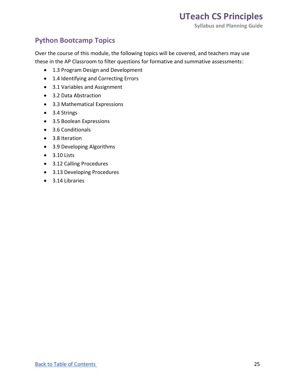#### **Python Bootcamp Topics**

 Over the course of this module, the following topics will be covered, and teachers may use these in the AP Classroom to filter questions for formative and summative assessments:

- 1.3 Program Design and Development
- 1.4 Identifying and Correcting Errors
- 3.1 Variables and Assignment
- 3.2 Data Abstraction
- 3.3 Mathematical Expressions
- 3.4 Strings
- 3.5 Boolean Expressions
- 3.6 Conditionals
- 3.8 Iteration
- 3.9 Developing Algorithms
- 3.10 Lists
- 3.12 Calling Procedures
- 3.13 Developing Procedures
- 3.14 Libraries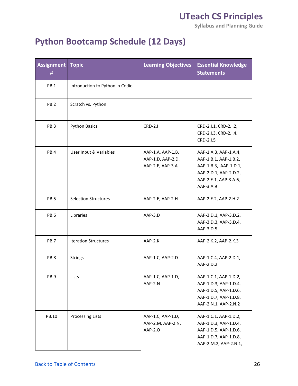**Syllabus and Planning Guide** 

### **Python Bootcamp Schedule (12 Days)**

| <b>Assignment</b><br>Ħ | <b>Topic</b>                    | <b>Learning Objectives</b>                                 | <b>Essential Knowledge</b><br><b>Statements</b>                                                                                        |
|------------------------|---------------------------------|------------------------------------------------------------|----------------------------------------------------------------------------------------------------------------------------------------|
| PB.1                   | Introduction to Python in Codio |                                                            |                                                                                                                                        |
| PB.2                   | Scratch vs. Python              |                                                            |                                                                                                                                        |
| PB.3                   | <b>Python Basics</b>            | <b>CRD-2.I</b>                                             | CRD-2.I.1, CRD-2.I.2,<br>CRD-2.I.3, CRD-2.I.4,<br>CRD-2.1.5                                                                            |
| PB.4                   | User Input & Variables          | AAP-1.A, AAP-1.B,<br>AAP-1.D, AAP-2.D,<br>AAP-2.E, AAP-3.A | AAP-1.A.3, AAP-1.A.4,<br>AAP-1.B.1, AAP-1.B.2,<br>AAP-1.B.3, AAP-1.D.1,<br>AAP-2.D.1, AAP-2.D.2,<br>AAP-2.E.1, AAP-3.A.6,<br>AAP-3.A.9 |
| PB.5                   | <b>Selection Structures</b>     | AAP-2.E, AAP-2.H                                           | AAP-2.E.2, AAP-2.H.2                                                                                                                   |
| PB.6                   | Libraries                       | AAP-3.D                                                    | AAP-3.D.1, AAP-3.D.2,<br>AAP-3.D.3, AAP-3.D.4,<br>AAP-3.D.5                                                                            |
| PB.7                   | <b>Iteration Structures</b>     | AAP-2.K                                                    | AAP-2.K.2, AAP-2.K.3                                                                                                                   |
| PB.8                   | <b>Strings</b>                  | AAP-1.C, AAP-2.D                                           | AAP-1.C.4, AAP-2.D.1,<br>AAP-2.D.2                                                                                                     |
| PB.9                   | Lists                           | AAP-1.C, AAP-1.D,<br>AAP-2.N                               | AAP-1.C.1, AAP-1.D.2,<br>AAP-1.D.3, AAP-1.D.4,<br>AAP-1.D.5, AAP-1.D.6,<br>AAP-1.D.7, AAP-1.D.8,<br>AAP-2.N.1, AAP-2.N.2               |
| PB.10                  | <b>Processing Lists</b>         | AAP-1.C, AAP-1.D,<br>AAP-2.M, AAP-2.N,<br>AAP-2.0          | AAP-1.C.1, AAP-1.D.2,<br>AAP-1.D.3, AAP-1.D.4,<br>AAP-1.D.5, AAP-1.D.6,<br>AAP-1.D.7, AAP-1.D.8,<br>AAP-2.M.2, AAP-2.N.1,              |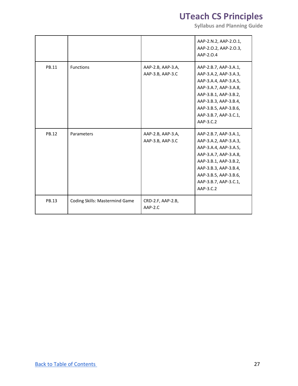|       |                                |                                       | AAP-2.N.2, AAP-2.0.1,<br>AAP-2.0.2, AAP-2.0.3,<br>AAP-2.0.4                                                                                                                                                       |
|-------|--------------------------------|---------------------------------------|-------------------------------------------------------------------------------------------------------------------------------------------------------------------------------------------------------------------|
| PB.11 | Functions                      | AAP-2.B, AAP-3.A,<br>AAP-3.B, AAP-3.C | AAP-2.B.7, AAP-3.A.1,<br>AAP-3.A.2, AAP-3.A.3,<br>AAP-3.A.4, AAP-3.A.5,<br>AAP-3.A.7, AAP-3.A.8,<br>AAP-3.B.1, AAP-3.B.2,<br>AAP-3.B.3, AAP-3.B.4,<br>AAP-3.B.5, AAP-3.B.6,<br>AAP-3.B.7, AAP-3.C.1,<br>AAP-3.C.2 |
| PB.12 | Parameters                     | AAP-2.B, AAP-3.A,<br>AAP-3.B, AAP-3.C | AAP-2.B.7, AAP-3.A.1,<br>AAP-3.A.2, AAP-3.A.3,<br>AAP-3.A.4, AAP-3.A.5,<br>AAP-3.A.7, AAP-3.A.8,<br>AAP-3.B.1, AAP-3.B.2,<br>AAP-3.B.3, AAP-3.B.4,<br>AAP-3.B.5, AAP-3.B.6,<br>AAP-3.B.7, AAP-3.C.1,<br>AAP-3.C.2 |
| PB.13 | Coding Skills: Mastermind Game | CRD-2.F, AAP-2.B,<br>$AAP-2.C.$       |                                                                                                                                                                                                                   |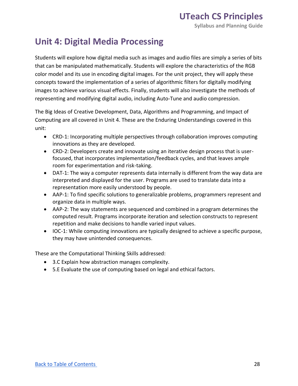#### **Unit 4: Digital Media Processing**

 Students will explore how digital media such as images and audio files are simply a series of bits that can be manipulated mathematically. Students will explore the characteristics of the RGB color model and its use in encoding digital images. For the unit project, they will apply these concepts toward the implementation of a series of algorithmic filters for digitally modifying images to achieve various visual effects. Finally, students will also investigate the methods of representing and modifying digital audio, including Auto-Tune and audio compression.

 The Big Ideas of Creative Development, Data, Algorithms and Programming, and Impact of Computing are all covered in Unit 4. These are the Enduring Understandings covered in this unit:

- • CRD-1: Incorporating multiple perspectives through collaboration improves computing innovations as they are developed.
- • CRD-2: Developers create and innovate using an iterative design process that is user- focused, that incorporates implementation/feedback cycles, and that leaves ample room for experimentation and risk-taking.
- • DAT-1: The way a computer represents data internally is different from the way data are interpreted and displayed for the user. Programs are used to translate data into a representation more easily understood by people.
- • AAP-1: To find specific solutions to generalizable problems, programmers represent and organize data in multiple ways.
- • AAP-2: The way statements are sequenced and combined in a program determines the computed result. Programs incorporate iteration and selection constructs to represent repetition and make decisions to handle varied input values.
- • IOC-1: While computing innovations are typically designed to achieve a specific purpose, they may have unintended consequences.

These are the Computational Thinking Skills addressed:

- 3.C Explain how abstraction manages complexity.
- 5.E Evaluate the use of computing based on legal and ethical factors.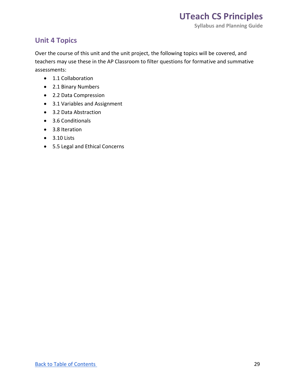#### **Unit 4 Topics**

 Over the course of this unit and the unit project, the following topics will be covered, and teachers may use these in the AP Classroom to filter questions for formative and summative assessments:

- 1.1 Collaboration
- 2.1 Binary Numbers
- 2.2 Data Compression
- 3.1 Variables and Assignment
- 3.2 Data Abstraction
- 3.6 Conditionals
- 3.8 Iteration
- 3.10 Lists
- 5.5 Legal and Ethical Concerns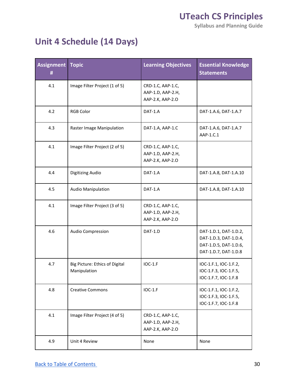**Syllabus and Planning Guide** 

### **Unit 4 Schedule (14 Days)**

| <b>Assignment</b><br>Ħ | <b>Topic</b>                                   | <b>Learning Objectives</b>                                 | <b>Essential Knowledge</b><br><b>Statements</b>                                                 |
|------------------------|------------------------------------------------|------------------------------------------------------------|-------------------------------------------------------------------------------------------------|
| 4.1                    | Image Filter Project (1 of 5)                  | CRD-1.C, AAP-1.C,<br>AAP-1.D, AAP-2.H,<br>AAP-2.K, AAP-2.O |                                                                                                 |
| 4.2                    | <b>RGB Color</b>                               | DAT-1.A                                                    | DAT-1.A.6, DAT-1.A.7                                                                            |
| 4.3                    | Raster Image Manipulation                      | DAT-1.A, AAP-1.C                                           | DAT-1.A.6, DAT-1.A.7<br>AAP-1.C.1                                                               |
| 4.1                    | Image Filter Project (2 of 5)                  | CRD-1.C, AAP-1.C,<br>AAP-1.D, AAP-2.H,<br>AAP-2.K, AAP-2.O |                                                                                                 |
| 4.4                    | Digitizing Audio                               | DAT-1.A                                                    | DAT-1.A.8, DAT-1.A.10                                                                           |
| 4.5                    | <b>Audio Manipulation</b>                      | DAT-1.A                                                    | DAT-1.A.8, DAT-1.A.10                                                                           |
| 4.1                    | Image Filter Project (3 of 5)                  | CRD-1.C, AAP-1.C,<br>AAP-1.D, AAP-2.H,<br>AAP-2.K, AAP-2.O |                                                                                                 |
| 4.6                    | Audio Compression                              | DAT-1.D                                                    | DAT-1.D.1, DAT-1.D.2,<br>DAT-1.D.3, DAT-1.D.4,<br>DAT-1.D.5, DAT-1.D.6,<br>DAT-1.D.7, DAT-1.D.8 |
| 4.7                    | Big Picture: Ethics of Digital<br>Manipulation | <b>IOC-1.F</b>                                             | IOC-1.F.1, IOC-1.F.2,<br>IOC-1.F.3, IOC-1.F.5,<br>IOC-1.F.7, IOC-1.F.8                          |
| 4.8                    | <b>Creative Commons</b>                        | $IOC-1.F$                                                  | IOC-1.F.1, IOC-1.F.2,<br>IOC-1.F.3, IOC-1.F.5,<br>IOC-1.F.7, IOC-1.F.8                          |
| 4.1                    | Image Filter Project (4 of 5)                  | CRD-1.C, AAP-1.C,<br>AAP-1.D, AAP-2.H,<br>AAP-2.K, AAP-2.O |                                                                                                 |
| 4.9                    | Unit 4 Review                                  | None                                                       | None                                                                                            |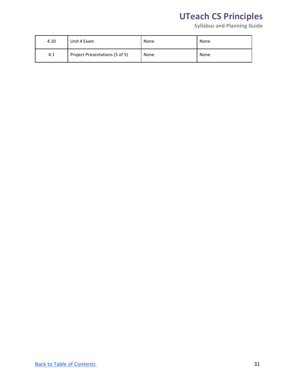| 4.10 | Unit 4 Exam                    | None | None |
|------|--------------------------------|------|------|
| 4.1  | Project Presentations (5 of 5) | None | None |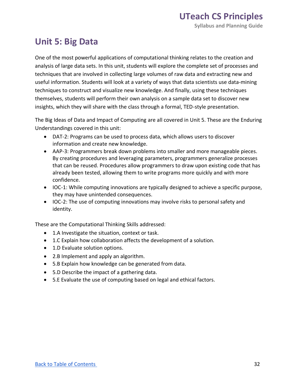#### **Unit 5: Big Data**

 One of the most powerful applications of computational thinking relates to the creation and analysis of large data sets. In this unit, students will explore the complete set of processes and techniques that are involved in collecting large volumes of raw data and extracting new and useful information. Students will look at a variety of ways that data scientists use data-mining themselves, students will perform their own analysis on a sample data set to discover new insights, which they will share with the class through a formal, TED-style presentation. techniques to construct and visualize new knowledge. And finally, using these techniques

 The Big Ideas of Data and Impact of Computing are all covered in Unit 5. These are the Enduring Understandings covered in this unit:

- • DAT-2: Programs can be used to process data, which allows users to discover information and create new knowledge.
- • AAP-3: Programmers break down problems into smaller and more manageable pieces. By creating procedures and leveraging parameters, programmers generalize processes that can be reused. Procedures allow programmers to draw upon existing code that has already been tested, allowing them to write programs more quickly and with more confidence.
- • IOC-1: While computing innovations are typically designed to achieve a specific purpose, they may have unintended consequences.
- • IOC-2: The use of computing innovations may involve risks to personal safety and identity.

These are the Computational Thinking Skills addressed:

- 1.A Investigate the situation, context or task.
- 1.C Explain how collaboration affects the development of a solution.
- 1.D Evaluate solution options.
- 2.B Implement and apply an algorithm.
- 5.B Explain how knowledge can be generated from data.
- 5.D Describe the impact of a gathering data.
- 5.E Evaluate the use of computing based on legal and ethical factors.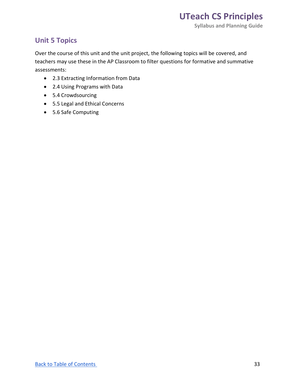#### **Unit 5 Topics**

 Over the course of this unit and the unit project, the following topics will be covered, and teachers may use these in the AP Classroom to filter questions for formative and summative assessments:

- 2.3 Extracting Information from Data
- 2.4 Using Programs with Data
- 5.4 Crowdsourcing
- 5.5 Legal and Ethical Concerns
- 5.6 Safe Computing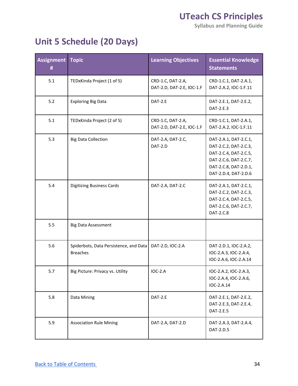**Syllabus and Planning Guide** 

### **Unit 5 Schedule (20 Days)**

| <b>Assignment</b><br>Ħ | <b>Topic</b>                                              | <b>Learning Objectives</b>                     | <b>Essential Knowledge</b><br><b>Statements</b>                                                                                                   |
|------------------------|-----------------------------------------------------------|------------------------------------------------|---------------------------------------------------------------------------------------------------------------------------------------------------|
| 5.1                    | TEDxKinda Project (1 of 5)                                | CRD-1.C, DAT-2.A,<br>DAT-2.D, DAT-2.E, IOC-1.F | CRD-1.C.1, DAT-2.A.1,<br>DAT-2.A.2, IOC-1.F.11                                                                                                    |
| 5.2                    | <b>Exploring Big Data</b>                                 | DAT-2.E                                        | DAT-2.E.1, DAT-2.E.2,<br>DAT-2.E.3                                                                                                                |
| 5.1                    | TEDxKinda Project (2 of 5)                                | CRD-1.C, DAT-2.A,<br>DAT-2.D, DAT-2.E, IOC-1.F | CRD-1.C.1, DAT-2.A.1,<br>DAT-2.A.2, IOC-1.F.11                                                                                                    |
| 5.3                    | <b>Big Data Collection</b>                                | DAT-2.A, DAT-2.C,<br>DAT-2.D                   | DAT-2.A.1, DAT-2.C.1,<br>DAT-2.C.2, DAT-2.C.3,<br>DAT-2.C.4, DAT-2.C.5,<br>DAT-2.C.6, DAT-2.C.7,<br>DAT-2.C.8, DAT-2.D.1,<br>DAT-2.D.4, DAT-2.D.6 |
| 5.4                    | <b>Digitizing Business Cards</b>                          | DAT-2.A, DAT-2.C                               | DAT-2.A.1, DAT-2.C.1,<br>DAT-2.C.2, DAT-2.C.3,<br>DAT-2.C.4, DAT-2.C.5,<br>DAT-2.C.6, DAT-2.C.7,<br>DAT-2.C.8                                     |
| 5.5                    | <b>Big Data Assessment</b>                                |                                                |                                                                                                                                                   |
| 5.6                    | Spiderbots, Data Persistence, and Data<br><b>Breaches</b> | DAT-2.D, IOC-2.A                               | DAT-2.D.1, IOC-2.A.2,<br>IOC-2.A.3, IOC-2.A.4,<br>IOC-2.A.6, IOC-2.A.14                                                                           |
| 5.7                    | Big Picture: Privacy vs. Utility                          | <b>IOC-2.A</b>                                 | IOC-2.A.2, IOC-2.A.3,<br>IOC-2.A.4, IOC-2.A.6,<br>IOC-2.A.14                                                                                      |
| 5.8                    | Data Mining                                               | DAT-2.E                                        | DAT-2.E.1, DAT-2.E.2,<br>DAT-2.E.3, DAT-2.E.4,<br>DAT-2.E.5                                                                                       |
| 5.9                    | <b>Association Rule Mining</b>                            | DAT-2.A, DAT-2.D                               | DAT-2.A.3, DAT-2.A.4,<br>DAT-2.D.5                                                                                                                |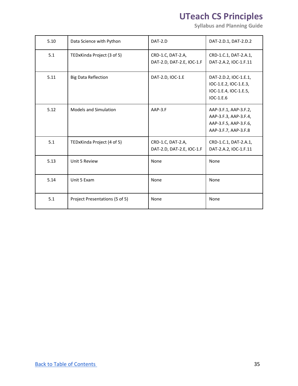| 5.10 | Data Science with Python       | DAT-2.D                                        | DAT-2.D.1, DAT-2.D.2                                                                            |
|------|--------------------------------|------------------------------------------------|-------------------------------------------------------------------------------------------------|
| 5.1  | TEDxKinda Project (3 of 5)     | CRD-1.C, DAT-2.A,<br>DAT-2.D, DAT-2.E, IOC-1.F | CRD-1.C.1, DAT-2.A.1,<br>DAT-2.A.2, IOC-1.F.11                                                  |
| 5.11 | <b>Big Data Reflection</b>     | DAT-2.D, IOC-1.E                               | DAT-2.D.2, IOC-1.E.1,<br>IOC-1.E.2, IOC-1.E.3,<br>IOC-1.E.4, IOC-1.E.5,<br>IOC-1.E.6            |
| 5.12 | <b>Models and Simulation</b>   | AAP-3.F                                        | AAP-3.F.1, AAP-3.F.2,<br>AAP-3.F.3, AAP-3.F.4,<br>AAP-3.F.5, AAP-3.F.6,<br>AAP-3.F.7, AAP-3.F.8 |
| 5.1  | TEDxKinda Project (4 of 5)     | CRD-1.C, DAT-2.A,<br>DAT-2.D, DAT-2.E, IOC-1.F | CRD-1.C.1, DAT-2.A.1,<br>DAT-2.A.2, IOC-1.F.11                                                  |
| 5.13 | Unit 5 Review                  | None                                           | None                                                                                            |
| 5.14 | Unit 5 Exam                    | None                                           | None                                                                                            |
| 5.1  | Project Presentations (5 of 5) | None                                           | None                                                                                            |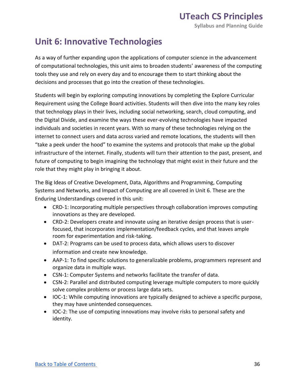#### **Unit 6: Innovative Technologies**

 As a way of further expanding upon the applications of computer science in the advancement of computational technologies, this unit aims to broaden students' awareness of the computing tools they use and rely on every day and to encourage them to start thinking about the decisions and processes that go into the creation of these technologies.

 Students will begin by exploring computing innovations by completing the Explore Curricular Requirement using the College Board activities. Students will then dive into the many key roles that technology plays in their lives, including social networking, search, cloud computing, and individuals and societies in recent years. With so many of these technologies relying on the internet to connect users and data across varied and remote locations, the students will then "take a peek under the hood" to examine the systems and protocols that make up the global infrastructure of the internet. Finally, students will turn their attention to the past, present, and future of computing to begin imagining the technology that might exist in their future and the role that they might play in bringing it about. the Digital Divide, and examine the ways these ever-evolving technologies have impacted

 The Big Ideas of Creative Development, Data, Algorithms and Programming, Computing Systems and Networks, and Impact of Computing are all covered in Unit 6. These are the Enduring Understandings covered in this unit:

- • CRD-1: Incorporating multiple perspectives through collaboration improves computing innovations as they are developed.
- • CRD-2: Developers create and innovate using an iterative design process that is user- focused, that incorporates implementation/feedback cycles, and that leaves ample room for experimentation and risk-taking.
- • DAT-2: Programs can be used to process data, which allows users to discover information and create new knowledge.
- • AAP-1: To find specific solutions to generalizable problems, programmers represent and organize data in multiple ways.
- CSN-1: Computer Systems and networks facilitate the transfer of data.
- • CSN-2: Parallel and distributed computing leverage multiple computers to more quickly solve complex problems or process large data sets.
- • IOC-1: While computing innovations are typically designed to achieve a specific purpose, they may have unintended consequences.
- • IOC-2: The use of computing innovations may involve risks to personal safety and identity.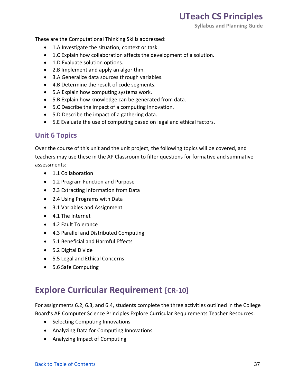**Syllabus and Planning Guide** 

These are the Computational Thinking Skills addressed:

- 1.A Investigate the situation, context or task.
- 1.C Explain how collaboration affects the development of a solution.
- 1.D Evaluate solution options.
- 2.B Implement and apply an algorithm.
- 3.A Generalize data sources through variables.
- 4.B Determine the result of code segments.
- 5.A Explain how computing systems work.
- 5.B Explain how knowledge can be generated from data.
- 5.C Describe the impact of a computing innovation.
- 5.D Describe the impact of a gathering data.
- 5.E Evaluate the use of computing based on legal and ethical factors.

#### **Unit 6 Topics**

 Over the course of this unit and the unit project, the following topics will be covered, and teachers may use these in the AP Classroom to filter questions for formative and summative assessments:

- 1.1 Collaboration
- 1.2 Program Function and Purpose
- 2.3 Extracting Information from Data
- 2.4 Using Programs with Data
- 3.1 Variables and Assignment
- 4.1 The Internet
- 4.2 Fault Tolerance
- 4.3 Parallel and Distributed Computing
- 5.1 Beneficial and Harmful Effects
- 5.2 Digital Divide
- 5.5 Legal and Ethical Concerns
- 5.6 Safe Computing

#### **Explore Curricular Requirement [CR-10]**

 For assignments 6.2, 6.3, and 6.4, students complete the three activities outlined in the College Board's AP Computer Science Principles Explore Curricular Requirements Teacher Resources:

- Selecting Computing Innovations
- Analyzing Data for Computing Innovations
- Analyzing Impact of Computing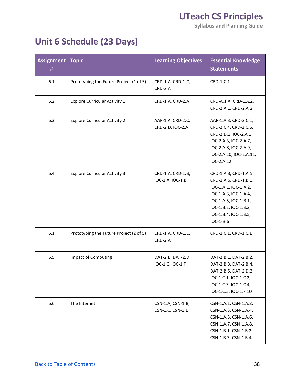**Syllabus and Planning Guide** 

### **Unit 6 Schedule (23 Days)**

| <b>Assignment Topic</b><br># |                                         | <b>Learning Objectives</b>            | <b>Essential Knowledge</b><br><b>Statements</b>                                                                                                                                          |
|------------------------------|-----------------------------------------|---------------------------------------|------------------------------------------------------------------------------------------------------------------------------------------------------------------------------------------|
| 6.1                          | Prototyping the Future Project (1 of 5) | CRD-1.A, CRD-1.C,<br>$CRD-2.A$        | CRD-1.C.1                                                                                                                                                                                |
| $6.2$                        | <b>Explore Curricular Activity 1</b>    | CRD-1.A, CRD-2.A                      | CRD-A.1.A, CRD-1.A.2,<br>CRD-2.A.1, CRD-2.A.2                                                                                                                                            |
| 6.3                          | <b>Explore Curricular Activity 2</b>    | AAP-1.A, CRD-2.C,<br>CRD-2.D, IOC-2.A | AAP-1.A.3, CRD-2.C.1,<br>CRD-2.C.4, CRD-2.C.6,<br>CRD-2.D.1, IOC-2.A.1,<br>IOC-2.A.5, IOC-2.A.7,<br>IOC-2.A.8, IOC-2.A.9,<br>IOC-2.A.10, IOC-2.A.11,<br>IOC-2.A.12                       |
| 6.4                          | <b>Explore Curricular Activity 3</b>    | CRD-1.A, CRD-1.B,<br>IOC-1.A, IOC-1.B | CRD-1.A.3, CRD-1.A.5,<br>CRD-1.A.6, CRD-1.B.1,<br>IOC-1.A.1, IOC-1.A.2,<br>IOC-1.A.3, IOC-1.A.4,<br>IOC-1.A.5, IOC-1.B.1,<br>IOC-1.B.2, IOC-1.B.3,<br>IOC-1.B.4, IOC-1.B.5,<br>IOC-1-B.6 |
| 6.1                          | Prototyping the Future Project (2 of 5) | CRD-1.A, CRD-1.C,<br>CRD-2.A          | CRD-1.C.1, CRD-1.C.1                                                                                                                                                                     |
| 6.5                          | Impact of Computing                     | DAT-2.B, DAT-2.D,<br>IOC-1.C, IOC-1.F | DAT-2.B.1, DAT-2.B.2,<br>DAT-2.B.3, DAT-2.B.4,<br>DAT-2.B.5, DAT-2.D.3,<br>IOC-1.C.1, IOC-1.C.2,<br>IOC-1.C.3, IOC-1.C.4,<br>IOC-1.C.5, IOC-1.F.10                                       |
| 6.6                          | The Internet                            | CSN-1.A, CSN-1.B,<br>CSN-1.C, CSN-1.E | CSN-1.A.1, CSN-1.A.2,<br>CSN-1.A.3, CSN-1.A.4,<br>CSN-1.A.5, CSN-1.A.6,<br>CSN-1.A.7, CSN-1.A.8,<br>CSN-1.B.1, CSN-1.B.2,<br>CSN-1.B.3, CSN-1.B.4,                                       |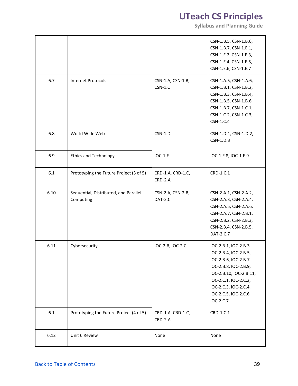|      |                                                    |                                | CSN-1.B.5, CSN-1.B.6,<br>CSN-1.B.7, CSN-1.E.1,<br>CSN-1.E.2, CSN-1.E.3,<br>CSN-1.E.4, CSN-1.E.5,<br>CSN-1.E.6, CSN-1.E.7                                                                                            |
|------|----------------------------------------------------|--------------------------------|---------------------------------------------------------------------------------------------------------------------------------------------------------------------------------------------------------------------|
| 6.7  | <b>Internet Protocols</b>                          | CSN-1.A, CSN-1.B,<br>$CSN-1.C$ | CSN-1.A.5, CSN-1.A.6,<br>CSN-1.B.1, CSN-1.B.2,<br>CSN-1.B.3, CSN-1.B.4,<br>CSN-1.B.5, CSN-1.B.6,<br>CSN-1.B.7, CSN-1.C.1,<br>CSN-1.C.2, CSN-1.C.3,<br>CSN-1.C.4                                                     |
| 6.8  | World Wide Web                                     | $CSN-1.D$                      | CSN-1.D.1, CSN-1.D.2,<br>CSN-1.D.3                                                                                                                                                                                  |
| 6.9  | <b>Ethics and Technology</b>                       | <b>IOC-1.F</b>                 | IOC-1.F.8, IOC-1.F.9                                                                                                                                                                                                |
| 6.1  | Prototyping the Future Project (3 of 5)            | CRD-1.A, CRD-1.C,<br>CRD-2.A   | CRD-1.C.1                                                                                                                                                                                                           |
| 6.10 | Sequential, Distributed, and Parallel<br>Computing | CSN-2.A, CSN-2.B,<br>DAT-2.C   | CSN-2.A.1, CSN-2.A.2,<br>CSN-2.A.3, CSN-2.A.4,<br>CSN-2.A.5, CSN-2.A.6,<br>CSN-2.A.7, CSN-2.B.1,<br>CSN-2.B.2, CSN-2.B.3,<br>CSN-2.B.4, CSN-2.B.5,<br>DAT-2.C.7                                                     |
| 6.11 | Cybersecurity                                      | IOC-2.B, IOC-2.C               | IOC-2.B.1, IOC-2.B.3,<br>IOC-2.B.4, IOC-2.B.5,<br>IOC-2.B.6, IOC-2.B.7,<br>IOC-2.B.8, IOC-2.B.9,<br>IOC-2.B.10, IOC-2.B.11,<br>IOC-2.C.1, IOC-2.C.2,<br>IOC-2.C.3, IOC-2.C.4,<br>IOC-2.C.5, IOC-2.C.6,<br>IOC-2.C.7 |
| 6.1  | Prototyping the Future Project (4 of 5)            | CRD-1.A, CRD-1.C,<br>CRD-2.A   | CRD-1.C.1                                                                                                                                                                                                           |
| 6.12 | Unit 6 Review                                      | None                           | None                                                                                                                                                                                                                |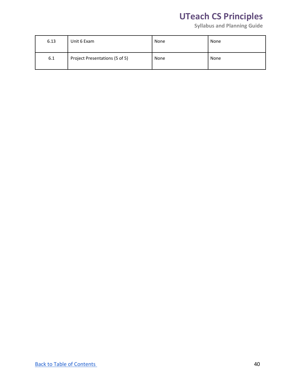| 6.13 | Unit 6 Exam                    | None | None |
|------|--------------------------------|------|------|
| 6.1  | Project Presentations (5 of 5) | None | None |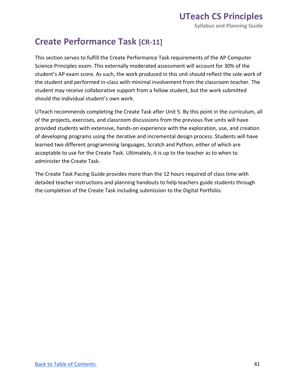#### **Create Performance Task [CR-11]**

 This section serves to fulfill the Create Performance Task requirements of the AP Computer Science Principles exam. This externally moderated assessment will account for 30% of the student's AP exam score. As such, the work produced in this unit should reflect the sole work of the student and performed in-class with minimal involvement from the classroom teacher. The student may receive collaborative support from a fellow student, but the work submitted should the individual student's own work.

 UTeach recommends completing the Create Task after Unit 5. By this point in the curriculum, all of the projects, exercises, and classroom discussions from the previous five units will have provided students with extensive, hands-on experience with the exploration, use, and creation learned two different programming languages, Scratch and Python, either of which are acceptable to use for the Create Task. Ultimately, it is up to the teacher as to when to of developing programs using the iterative and incremental design process. Students will have administer the Create Task.

 The Create Task Pacing Guide provides more than the 12 hours required of class time with detailed teacher instructions and planning handouts to help teachers guide students through the completion of the Create Task including submission to the Digital Portfolio.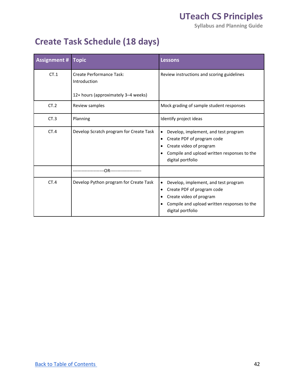**Syllabus and Planning Guide** 

### **Create Task Schedule (18 days)**

| <b>Assignment #</b> | <b>Topic</b>                                                                           | <b>Lessons</b>                                                                                                                                                                                |
|---------------------|----------------------------------------------------------------------------------------|-----------------------------------------------------------------------------------------------------------------------------------------------------------------------------------------------|
| CT.1                | <b>Create Performance Task:</b><br>Introduction<br>12+ hours (approximately 3-4 weeks) | Review instructions and scoring guidelines                                                                                                                                                    |
| CT.2                | Review samples                                                                         | Mock grading of sample student responses                                                                                                                                                      |
| CT.3                | Planning                                                                               | Identify project ideas                                                                                                                                                                        |
| CT.4                | Develop Scratch program for Create Task                                                | Develop, implement, and test program<br>٠<br>Create PDF of program code<br>$\bullet$<br>Create video of program<br>٠<br>Compile and upload written responses to the<br>٠<br>digital portfolio |
|                     | -OR------------                                                                        |                                                                                                                                                                                               |
| CT.4                | Develop Python program for Create Task                                                 | Develop, implement, and test program<br>٠<br>Create PDF of program code<br>٠<br>Create video of program<br>٠<br>Compile and upload written responses to the<br>٠<br>digital portfolio         |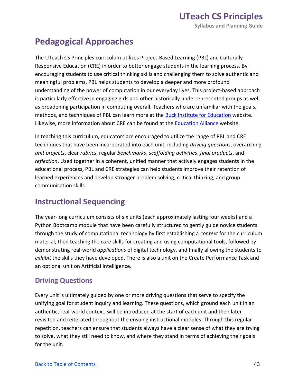### **Pedagogical Approaches**

 The UTeach CS Principles curriculum utilizes Project-Based Learning (PBL) and Culturally Responsive Education (CRE) in order to better engage students in the learning process. By encouraging students to use critical thinking skills and challenging them to solve authentic and meaningful problems, PBL helps students to develop a deeper and more profound understanding of the power of computation in our everyday lives. This project-based approach is particularly effective in engaging girls and other historically underrepresented groups as well as broadening participation in computing overall. Teachers who are unfamiliar with the goals, methods, and techniques of PBL can learn more at the **Buck Institute for Education** website. Likewise, more information about CRE can be found at the **Education Alliance** website.

 In teaching this curriculum, educators are encouraged to utilize the range of PBL and CRE techniques that have been incorporated into each unit, including *driving questions*, overarching *unit projects*, clear *rubrics*, regular *benchmarks*, *scaffolding activities*, *final products*, and *reflection*. Used together in a coherent, unified manner that actively engages students in the educational process, PBL and CRE strategies can help students improve their retention of learned experiences and develop stronger problem solving, critical thinking, and group communication skills.

#### **Instructional Sequencing**

 The year-long curriculum consists of six units (each approximately lasting four weeks) and a Python Bootcamp module that have been carefully structured to gently guide novice students through the study of computational technology by first establishing a *context* for the curriculum material, then teaching the *core* skills for creating and using computational tools, followed by demonstrating real-world *applications* of digital technology, and finally allowing the students to *exhibit* the skills they have developed. There is also a unit on the Create Performance Task and an optional unit on Artificial Intelligence.

#### **Driving Questions**

 Every unit is ultimately guided by one or more driving questions that serve to specify the unifying goal for student inquiry and learning. These questions, which ground each unit in an authentic, real-world context, will be introduced at the start of each unit and then later revisited and reiterated throughout the ensuing instructional modules. Through this regular repetition, teachers can ensure that students always have a clear sense of what they are trying to solve, what they still need to know, and where they stand in terms of achieving their goals for the unit.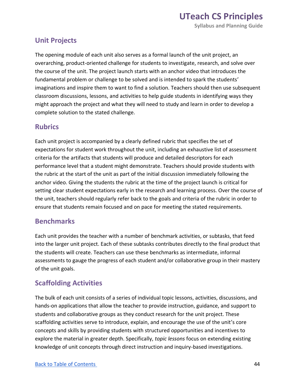#### **Unit Projects**

 The opening module of each unit also serves as a formal launch of the unit project, an overarching, product-oriented challenge for students to investigate, research, and solve over the course of the unit. The project launch starts with an anchor video that introduces the fundamental problem or challenge to be solved and is intended to spark the students' imaginations and inspire them to want to find a solution. Teachers should then use subsequent classroom discussions, lessons, and activities to help guide students in identifying ways they might approach the project and what they will need to study and learn in order to develop a complete solution to the stated challenge.

#### **Rubrics**

 Each unit project is accompanied by a clearly defined rubric that specifies the set of expectations for student work throughout the unit, including an exhaustive list of assessment criteria for the artifacts that students will produce and detailed descriptors for each performance level that a student might demonstrate. Teachers should provide students with the rubric at the start of the unit as part of the initial discussion immediately following the anchor video. Giving the students the rubric at the time of the project launch is critical for setting clear student expectations early in the research and learning process. Over the course of the unit, teachers should regularly refer back to the goals and criteria of the rubric in order to ensure that students remain focused and on pace for meeting the stated requirements.

#### **Benchmarks**

 Each unit provides the teacher with a number of benchmark activities, or subtasks, that feed into the larger unit project. Each of these subtasks contributes directly to the final product that the students will create. Teachers can use these benchmarks as intermediate, informal assessments to gauge the progress of each student and/or collaborative group in their mastery of the unit goals.

#### **Scaffolding Activities**

 The bulk of each unit consists of a series of individual topic lessons, activities, discussions, and hands-on applications that allow the teacher to provide instruction, guidance, and support to students and collaborative groups as they conduct research for the unit project. These scaffolding activities serve to introduce, explain, and encourage the use of the unit's core concepts and skills by providing students with structured opportunities and incentives to explore the material in greater depth. Specifically, *topic lessons* focus on extending existing knowledge of unit concepts through direct instruction and inquiry-based investigations.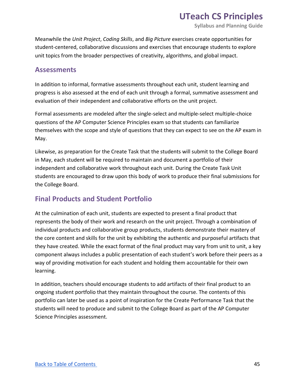**Syllabus and Planning Guide** 

 Meanwhile the *Unit Project*, *Coding Skills*, and *Big Picture* exercises create opportunities for student-centered, collaborative discussions and exercises that encourage students to explore unit topics from the broader perspectives of creativity, algorithms, and global impact.

#### **Assessments**

 In addition to informal, formative assessments throughout each unit, student learning and progress is also assessed at the end of each unit through a formal, summative assessment and evaluation of their independent and collaborative efforts on the unit project.

 Formal assessments are modeled after the single-select and multiple-select multiple-choice questions of the AP Computer Science Principles exam so that students can familiarize themselves with the scope and style of questions that they can expect to see on the AP exam in May.

 Likewise, as preparation for the Create Task that the students will submit to the College Board in May, each student will be required to maintain and document a portfolio of their independent and collaborative work throughout each unit. During the Create Task Unit students are encouraged to draw upon this body of work to produce their final submissions for the College Board.

#### **Final Products and Student Portfolio**

 At the culmination of each unit, students are expected to present a final product that represents the body of their work and research on the unit project. Through a combination of individual products and collaborative group products, students demonstrate their mastery of the core content and skills for the unit by exhibiting the authentic and purposeful artifacts that they have created. While the exact format of the final product may vary from unit to unit, a key component always includes a public presentation of each student's work before their peers as a way of providing motivation for each student and holding them accountable for their own learning.

 In addition, teachers should encourage students to add artifacts of their final product to an ongoing student portfolio that they maintain throughout the course. The contents of this portfolio can later be used as a point of inspiration for the Create Performance Task that the students will need to produce and submit to the College Board as part of the AP Computer Science Principles assessment.